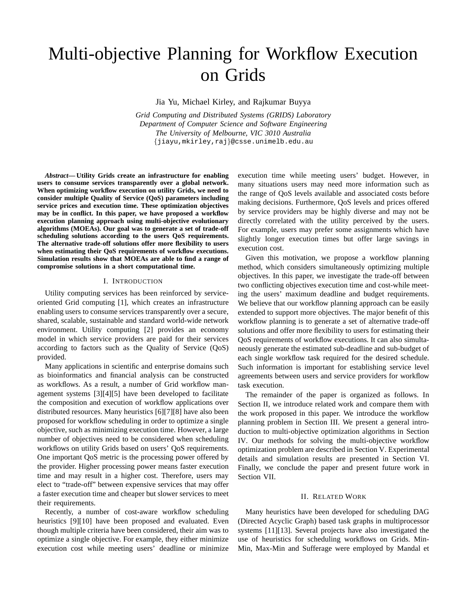# Multi-objective Planning for Workflow Execution on Grids

Jia Yu, Michael Kirley, and Rajkumar Buyya

*Grid Computing and Distributed Systems (GRIDS) Laboratory Department of Computer Science and Software Engineering The University of Melbourne, VIC 3010 Australia* {jiayu,mkirley,raj}@csse.unimelb.edu.au

*Abstract***— Utility Grids create an infrastructure for enabling users to consume services transparently over a global network. When optimizing workflow execution on utility Grids, we need to consider multiple Quality of Service (QoS) parameters including service prices and execution time. These optimization objectives may be in conflict. In this paper, we have proposed a workflow execution planning approach using multi-objective evolutionary algorithms (MOEAs). Our goal was to generate a set of trade-off scheduling solutions according to the users QoS requirements. The alternative trade-off solutions offer more flexibility to users when estimating their QoS requirements of workflow executions. Simulation results show that MOEAs are able to find a range of compromise solutions in a short computational time.**

## I. INTRODUCTION

Utility computing services has been reinforced by serviceoriented Grid computing [1], which creates an infrastructure enabling users to consume services transparently over a secure, shared, scalable, sustainable and standard world-wide network environment. Utility computing [2] provides an economy model in which service providers are paid for their services according to factors such as the Quality of Service (QoS) provided.

Many applications in scientific and enterprise domains such as bioinformatics and financial analysis can be constructed as workflows. As a result, a number of Grid workflow management systems [3][4][5] have been developed to facilitate the composition and execution of workflow applications over distributed resources. Many heuristics [6][7][8] have also been proposed for workflow scheduling in order to optimize a single objective, such as minimizing execution time. However, a large number of objectives need to be considered when scheduling workflows on utility Grids based on users' QoS requirements. One important QoS metric is the processing power offered by the provider. Higher processing power means faster execution time and may result in a higher cost. Therefore, users may elect to "trade-off" between expensive services that may offer a faster execution time and cheaper but slower services to meet their requirements.

Recently, a number of cost-aware workflow scheduling heuristics [9][10] have been proposed and evaluated. Even though multiple criteria have been considered, their aim was to optimize a single objective. For example, they either minimize execution cost while meeting users' deadline or minimize execution time while meeting users' budget. However, in many situations users may need more information such as the range of QoS levels available and associated costs before making decisions. Furthermore, QoS levels and prices offered by service providers may be highly diverse and may not be directly correlated with the utility perceived by the users. For example, users may prefer some assignments which have slightly longer execution times but offer large savings in execution cost.

Given this motivation, we propose a workflow planning method, which considers simultaneously optimizing multiple objectives. In this paper, we investigate the trade-off between two conflicting objectives execution time and cost-while meeting the users' maximum deadline and budget requirements. We believe that our workflow planning approach can be easily extended to support more objectives. The major benefit of this workflow planning is to generate a set of alternative trade-off solutions and offer more flexibility to users for estimating their QoS requirements of workflow executions. It can also simultaneously generate the estimated sub-deadline and sub-budget of each single workflow task required for the desired schedule. Such information is important for establishing service level agreements between users and service providers for workflow task execution.

The remainder of the paper is organized as follows. In Section II, we introduce related work and compare them with the work proposed in this paper. We introduce the workflow planning problem in Section III. We present a general introduction to multi-objective optimization algorithms in Section IV. Our methods for solving the multi-objective workflow optimization problem are described in Section V. Experimental details and simulation results are presented in Section VI. Finally, we conclude the paper and present future work in Section VII.

## II. RELATED WORK

Many heuristics have been developed for scheduling DAG (Directed Acyclic Graph) based task graphs in multiprocessor systems [11][13]. Several projects have also investigated the use of heuristics for scheduling workflows on Grids. Min-Min, Max-Min and Sufferage were employed by Mandal et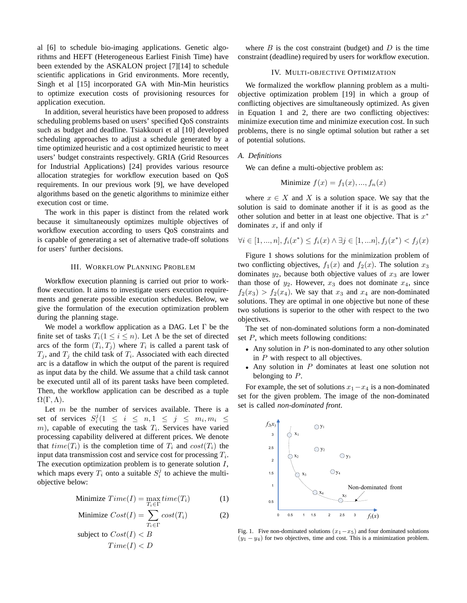al [6] to schedule bio-imaging applications. Genetic algorithms and HEFT (Heterogeneous Earliest Finish Time) have been extended by the ASKALON project [7][14] to schedule scientific applications in Grid environments. More recently, Singh et al [15] incorporated GA with Min-Min heuristics to optimize execution costs of provisioning resources for application execution.

In addition, several heuristics have been proposed to address scheduling problems based on users' specified QoS constraints such as budget and deadline. Tsiakkouri et al [10] developed scheduling approaches to adjust a schedule generated by a time optimized heuristic and a cost optimized heuristic to meet users' budget constraints respectively. GRIA (Grid Resources for Industrial Applications) [24] provides various resource allocation strategies for workflow execution based on QoS requirements. In our previous work [9], we have developed algorithms based on the genetic algorithms to minimize either execution cost or time.

The work in this paper is distinct from the related work because it simultaneously optimizes multiple objectives of workflow execution according to users QoS constraints and is capable of generating a set of alternative trade-off solutions for users' further decisions.

## III. WORKFLOW PLANNING PROBLEM

Workflow execution planning is carried out prior to workflow execution. It aims to investigate users execution requirements and generate possible execution schedules. Below, we give the formulation of the execution optimization problem during the planning stage.

We model a workflow application as a DAG. Let  $\Gamma$  be the finite set of tasks  $T_i(1 \leq i \leq n)$ . Let  $\Lambda$  be the set of directed arcs of the form  $(T_i, T_j)$  where  $T_i$  is called a parent task of  $T_j$ , and  $T_j$  the child task of  $T_i$ . Associated with each directed arc is a dataflow in which the output of the parent is required as input data by the child. We assume that a child task cannot be executed until all of its parent tasks have been completed. Then, the workflow application can be described as a tuple  $\Omega(\Gamma,\Lambda).$ 

Let  $m$  be the number of services available. There is a set of services  $S_i^j (1 \leq i \leq n, 1 \leq j \leq m_i, m_i \leq j$  $(m)$ , capable of executing the task  $T_i$ . Services have varied processing capability delivered at different prices. We denote that  $time(T_i)$  is the completion time of  $T_i$  and  $cost(T_i)$  the input data transmission cost and service cost for processing  $T_i$ . The execution optimization problem is to generate solution  $I$ , which maps every  $T_i$  onto a suitable  $S_i^j$  to achieve the multiobjective below:

Minimize 
$$
Time(I) = \max_{T_i \in \Gamma} time(T_i)
$$
 (1)

Minimize 
$$
Cost(I) = \sum_{T_i \in \Gamma} cost(T_i)
$$
 (2)  
subject to  $Cost(I) < B$   
 $Time(I) < D$ 

where  $B$  is the cost constraint (budget) and  $D$  is the time constraint (deadline) required by users for workflow execution.

## IV. MULTI-OBJECTIVE OPTIMIZATION

We formalized the workflow planning problem as a multiobjective optimization problem [19] in which a group of conflicting objectives are simultaneously optimized. As given in Equation 1 and 2, there are two conflicting objectives: minimize execution time and minimize execution cost. In such problems, there is no single optimal solution but rather a set of potential solutions.

#### *A. Definitions*

We can define a multi-objective problem as:

Minimize 
$$
f(x) = f_1(x), ..., f_n(x)
$$

where  $x \in X$  and X is a solution space. We say that the solution is said to dominate another if it is as good as the other solution and better in at least one objective. That is  $x^*$ dominates  $x$ , if and only if

$$
\forall i \in [1, ..., n], f_i(x^*) \le f_i(x) \land \exists j \in [1, ... n], f_j(x^*) < f_j(x)
$$

Figure 1 shows solutions for the minimization problem of two conflicting objectives,  $f_1(x)$  and  $f_2(x)$ . The solution  $x_3$ dominates  $y_2$ , because both objective values of  $x_3$  are lower than those of  $y_2$ . However,  $x_3$  does not dominate  $x_4$ , since  $f_2(x_3) > f_2(x_4)$ . We say that  $x_3$  and  $x_4$  are non-dominated solutions. They are optimal in one objective but none of these two solutions is superior to the other with respect to the two objectives.

The set of non-dominated solutions form a non-dominated set  $P$ , which meets following conditions:

- Any solution in  $P$  is non-dominated to any other solution in  $P$  with respect to all objectives.
- Any solution in P dominates at least one solution not belonging to  $P$ .

For example, the set of solutions  $x_1-x_4$  is a non-dominated set for the given problem. The image of the non-dominated set is called *non-dominated front*.



Fig. 1. Five non-dominated solutions  $(x_1-x_5)$  and four dominated solutions  $(y_1 - y_4)$  for two objectives, time and cost. This is a minimization problem.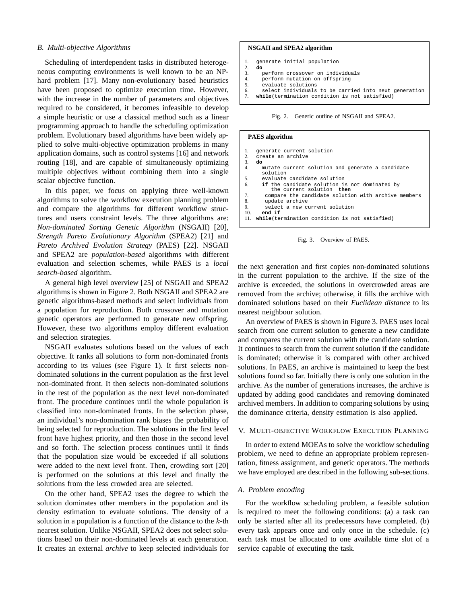#### *B. Multi-objective Algorithms*

Scheduling of interdependent tasks in distributed heterogeneous computing environments is well known to be an NPhard problem [17]. Many non-evolutionary based heuristics have been proposed to optimize execution time. However, with the increase in the number of parameters and objectives required to be considered, it becomes infeasible to develop a simple heuristic or use a classical method such as a linear programming approach to handle the scheduling optimization problem. Evolutionary based algorithms have been widely applied to solve multi-objective optimization problems in many application domains, such as control systems [16] and network routing [18], and are capable of simultaneously optimizing multiple objectives without combining them into a single scalar objective function.

In this paper, we focus on applying three well-known algorithms to solve the workflow execution planning problem and compare the algorithms for different workflow structures and users constraint levels. The three algorithms are: *Non-dominated Sorting Genetic Algorithm* (NSGAII) [20], *Strength Pareto Evolutionary Algorithm* (SPEA2) [21] and *Pareto Archived Evolution Strategy* (PAES) [22]. NSGAII and SPEA2 are *population-based* algorithms with different evaluation and selection schemes, while PAES is a *local search-based* algorithm.

A general high level overview [25] of NSGAII and SPEA2 algorithms is shown in Figure 2. Both NSGAII and SPEA2 are genetic algorithms-based methods and select individuals from a population for reproduction. Both crossover and mutation genetic operators are performed to generate new offspring. However, these two algorithms employ different evaluation and selection strategies.

NSGAII evaluates solutions based on the values of each objective. It ranks all solutions to form non-dominated fronts according to its values (see Figure 1). It first selects nondominated solutions in the current population as the first level non-dominated front. It then selects non-dominated solutions in the rest of the population as the next level non-dominated front. The procedure continues until the whole population is classified into non-dominated fronts. In the selection phase, an individual's non-domination rank biases the probability of being selected for reproduction. The solutions in the first level front have highest priority, and then those in the second level and so forth. The selection process continues until it finds that the population size would be exceeded if all solutions were added to the next level front. Then, crowding sort [20] is performed on the solutions at this level and finally the solutions from the less crowded area are selected.

On the other hand, SPEA2 uses the degree to which the solution dominates other members in the population and its density estimation to evaluate solutions. The density of a solution in a population is a function of the distance to the  $k$ -th nearest solution. Unlike NSGAII, SPEA2 does not select solutions based on their non-dominated levels at each generation. It creates an external *archive* to keep selected individuals for

#### **NSGAII and SPEA2 algorithm NSGAII and SPEA2 algorithm**

```
generate initial population
1.
```

```
2. do
 3. perform crossover on individuals
3. perform crossover on individuals
\frac{2}{3}
```
- 4. perform mutation on offspring 4. perform mutation on offspring
- 5. evaluate solutions 5. evaluate solutions
- 6. select individuals to be carried into next generation 6. select individuals to be carried into next generation 7. **while**(termination condition is not satisfied) 7. **while**(termination condition is not satisfied)

Fig. 2. Generic outline of NSGAII and SPEA2.

#### **PAES algorithm**

| 1.             | generate current solution                                                  |
|----------------|----------------------------------------------------------------------------|
| 2.             | create an archive                                                          |
| 3.             | do                                                                         |
| 4.             | mutate current solution and generate a candidate<br>solution               |
| 5.             | evaluate candidate solution                                                |
| 6.             | if the candidate solution is not dominated by<br>the current solution then |
| 7 <sub>1</sub> | compare the candidate solution with archive members                        |
| 8.             | update archive                                                             |
| 9.             | select a new current solution                                              |
| 10.            | end if                                                                     |
| 11.            | while (termination condition is not satisfied)                             |
|                |                                                                            |



the next generation and first copies non-dominated solutions in the current population to the archive. If the size of the archive is exceeded, the solutions in overcrowded areas are removed from the archive; otherwise, it fills the archive with dominated solutions based on their *Euclidean distance* to its nearest neighbour solution.

An overview of PAES is shown in Figure 3. PAES uses local search from one current solution to generate a new candidate and compares the current solution with the candidate solution. It continues to search from the current solution if the candidate is dominated; otherwise it is compared with other archived solutions. In PAES, an archive is maintained to keep the best solutions found so far. Initially there is only one solution in the archive. As the number of generations increases, the archive is updated by adding good candidates and removing dominated archived members. In addition to comparing solutions by using the dominance criteria, density estimation is also applied.

## V. MULTI-OBJECTIVE WORKFLOW EXECUTION PLANNING

In order to extend MOEAs to solve the workflow scheduling problem, we need to define an appropriate problem representation, fitness assignment, and genetic operators. The methods we have employed are described in the following sub-sections.

#### *A. Problem encoding*

For the workflow scheduling problem, a feasible solution is required to meet the following conditions: (a) a task can only be started after all its predecessors have completed. (b) every task appears once and only once in the schedule. (c) each task must be allocated to one available time slot of a service capable of executing the task.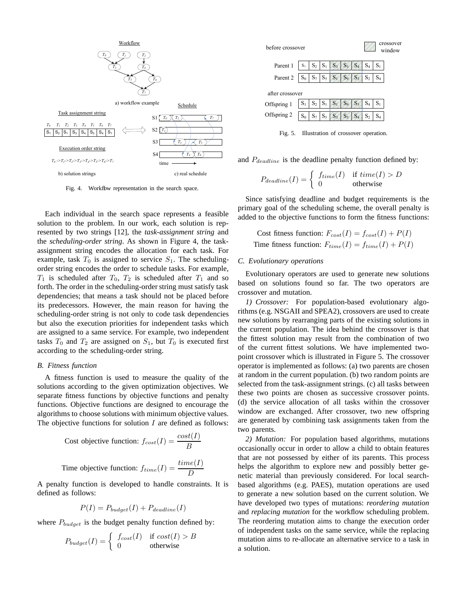

Fig. 4. Workfbw representation in the search space.

Each individual in the search space represents a feasible solution to the problem. In our work, each solution is represented by two strings [12], the *task-assignment string* and the *scheduling-order string*. As shown in Figure 4, the taskassignment string encodes the allocation for each task. For example, task  $T_0$  is assigned to service  $S_1$ . The schedulingorder string encodes the order to schedule tasks. For example,  $T_1$  is scheduled after  $T_0$ ,  $T_2$  is scheduled after  $T_1$  and so forth. The order in the scheduling-order string must satisfy task dependencies; that means a task should not be placed before its predecessors. However, the main reason for having the scheduling-order string is not only to code task dependencies but also the execution priorities for independent tasks which are assigned to a same service. For example, two independent tasks  $T_0$  and  $T_2$  are assigned on  $S_1$ , but  $T_0$  is executed first according to the scheduling-order string.

## *B. Fitness function*

A fitness function is used to measure the quality of the solutions according to the given optimization objectives. We separate fitness functions by objective functions and penalty functions. Objective functions are designed to encourage the algorithms to choose solutions with minimum objective values. The objective functions for solution  $I$  are defined as follows:

Cost objective function: 
$$
f_{cost}(I) = \frac{cost(I)}{B}
$$
  
Time objective function:  $f_{time}(I) = \frac{time(I)}{D}$ 

A penalty function is developed to handle constraints. It is defined as follows:

$$
P(I) = P_{budget}(I) + P_{deadline}(I)
$$

where  $P_{budget}$  is the budget penalty function defined by:

$$
P_{budget}(I) = \begin{cases} f_{cost}(I) & \text{if } cost(I) > B \\ 0 & \text{otherwise} \end{cases}
$$



Fig. 5. Illustration of crossover operation.

and  $P_{deadline}$  is the deadline penalty function defined by:

$$
P_{deadline}(I) = \begin{cases} f_{time}(I) & \text{if } time(I) > D \\ 0 & \text{otherwise} \end{cases}
$$

Since satisfying deadline and budget requirements is the primary goal of the scheduling scheme, the overall penalty is added to the objective functions to form the fitness functions:

Cost fitness function: 
$$
F_{cost}(I) = f_{cost}(I) + P(I)
$$
  
Time fitness function:  $F_{time}(I) = f_{time}(I) + P(I)$ 

#### *C. Evolutionary operations*

Evolutionary operators are used to generate new solutions based on solutions found so far. The two operators are crossover and mutation.

*1) Crossover:* For population-based evolutionary algorithms (e.g. NSGAII and SPEA2), crossovers are used to create new solutions by rearranging parts of the existing solutions in the current population. The idea behind the crossover is that the fittest solution may result from the combination of two of the current fittest solutions. We have implemented twopoint crossover which is illustrated in Figure 5. The crossover operator is implemented as follows: (a) two parents are chosen at random in the current population. (b) two random points are selected from the task-assignment strings. (c) all tasks between these two points are chosen as successive crossover points. (d) the service allocation of all tasks within the crossover window are exchanged. After crossover, two new offspring are generated by combining task assignments taken from the two parents.

*2) Mutation:* For population based algorithms, mutations occasionally occur in order to allow a child to obtain features that are not possessed by either of its parents. This process helps the algorithm to explore new and possibly better genetic material than previously considered. For local searchbased algorithms (e.g. PAES), mutation operations are used to generate a new solution based on the current solution. We have developed two types of mutations: *reordering mutation* and *replacing mutation* for the workflow scheduling problem. The reordering mutation aims to change the execution order of independent tasks on the same service, while the replacing mutation aims to re-allocate an alternative service to a task in a solution.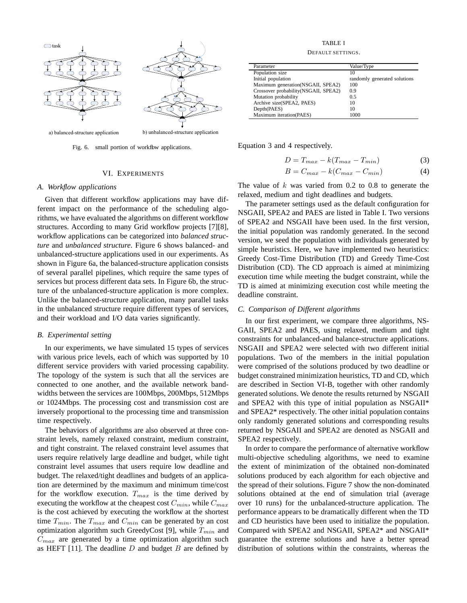

Fig. 6. small portion of workflow applications.

# VI. EXPERIMENTS

## *A. Workflow applications*

Given that different workflow applications may have different impact on the performance of the scheduling algorithms, we have evaluated the algorithms on different workflow structures. According to many Grid workflow projects [7][8], workflow applications can be categorized into *balanced structure* and *unbalanced structure*. Figure 6 shows balanced- and unbalanced-structure applications used in our experiments. As shown in Figure 6a, the balanced-structure application consists of several parallel pipelines, which require the same types of services but process different data sets. In Figure 6b, the structure of the unbalanced-structure application is more complex. Unlike the balanced-structure application, many parallel tasks in the unbalanced structure require different types of services, and their workload and I/O data varies significantly.

#### *B. Experimental setting*

In our experiments, we have simulated 15 types of services with various price levels, each of which was supported by 10 different service providers with varied processing capability. The topology of the system is such that all the services are connected to one another, and the available network bandwidths between the services are 100Mbps, 200Mbps, 512Mbps or 1024Mbps. The processing cost and transmission cost are inversely proportional to the processing time and transmission time respectively.

The behaviors of algorithms are also observed at three constraint levels, namely relaxed constraint, medium constraint, and tight constraint. The relaxed constraint level assumes that users require relatively large deadline and budget, while tight constraint level assumes that users require low deadline and budget. The relaxed/tight deadlines and budgets of an application are determined by the maximum and minimum time/cost for the workflow execution.  $T_{max}$  is the time derived by executing the workflow at the cheapest cost  $C_{min}$ , while  $C_{max}$ is the cost achieved by executing the workflow at the shortest time  $T_{min}$ . The  $T_{max}$  and  $C_{min}$  can be generated by an cost optimization algorithm such GreedyCost [9], while  $T_{min}$  and  $C_{max}$  are generated by a time optimization algorithm such as HEFT [11]. The deadline  $D$  and budget  $B$  are defined by

TABLE I

DEFAULT SETTINGS.

| Parameter                             | Value/Type                   |  |
|---------------------------------------|------------------------------|--|
| Population size                       | 10                           |  |
| Initial population                    | randomly generated solutions |  |
| Maximum generation(NSGAII, SPEA2)     | 100                          |  |
| Crossover probability (NSGAII, SPEA2) | 0.9                          |  |
| Mutation probability                  | 0.5                          |  |
| Archive size(SPEA2, PAES)             | 10                           |  |
| Depth(PAES)                           | 10                           |  |
| Maximum iteration(PAES)               | 1000                         |  |

Equation 3 and 4 respectively.

$$
D = T_{max} - k(T_{max} - T_{min})
$$
\n(3)

$$
B = C_{max} - k(C_{max} - C_{min})
$$
\n(4)

The value of  $k$  was varied from 0.2 to 0.8 to generate the relaxed, medium and tight deadlines and budgets.

The parameter settings used as the default configuration for NSGAII, SPEA2 and PAES are listed in Table I. Two versions of SPEA2 and NSGAII have been used. In the first version, the initial population was randomly generated. In the second version, we seed the population with individuals generated by simple heuristics. Here, we have implemented two heuristics: Greedy Cost-Time Distribution (TD) and Greedy Time-Cost Distribution (CD). The CD approach is aimed at minimizing execution time while meeting the budget constraint, while the TD is aimed at minimizing execution cost while meeting the deadline constraint.

## *C. Comparison of Different algorithms*

In our first experiment, we compare three algorithms, NS-GAII, SPEA2 and PAES, using relaxed, medium and tight constraints for unbalanced-and balance-structure applications. NSGAII and SPEA2 were selected with two different initial populations. Two of the members in the initial population were comprised of the solutions produced by two deadline or budget constrained minimization heuristics, TD and CD, which are described in Section VI-B, together with other randomly generated solutions. We denote the results returned by NSGAII and SPEA2 with this type of initial population as NSGAII\* and SPEA2\* respectively. The other initial population contains only randomly generated solutions and corresponding results returned by NSGAII and SPEA2 are denoted as NSGAII and SPEA2 respectively.

In order to compare the performance of alternative workflow multi-objective scheduling algorithms, we need to examine the extent of minimization of the obtained non-dominated solutions produced by each algorithm for each objective and the spread of their solutions. Figure 7 show the non-dominated solutions obtained at the end of simulation trial (average over 10 runs) for the unbalanced-structure application. The performance appears to be dramatically different when the TD and CD heuristics have been used to initialize the population. Compared with SPEA2 and NSGAII, SPEA2\* and NSGAII\* guarantee the extreme solutions and have a better spread distribution of solutions within the constraints, whereas the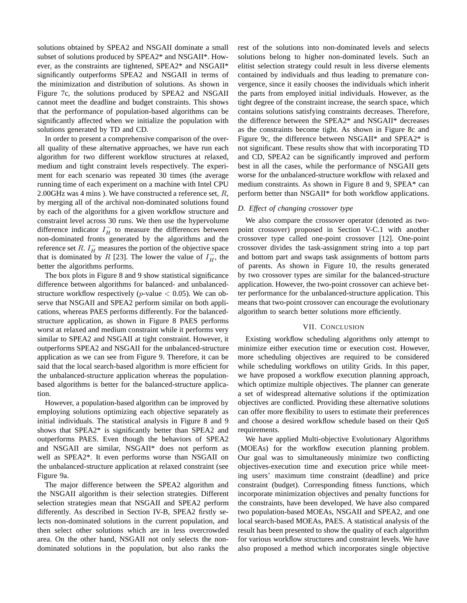solutions obtained by SPEA2 and NSGAII dominate a small subset of solutions produced by SPEA2\* and NSGAII\*. However, as the constraints are tightened, SPEA2\* and NSGAII\* significantly outperforms SPEA2 and NSGAII in terms of the minimization and distribution of solutions. As shown in Figure 7c, the solutions produced by SPEA2 and NSGAII cannot meet the deadline and budget constraints. This shows that the performance of population-based algorithms can be significantly affected when we initialize the population with solutions generated by TD and CD.

In order to present a comprehensive comparison of the overall quality of these alternative approaches, we have run each algorithm for two different workflow structures at relaxed, medium and tight constraint levels respectively. The experiment for each scenario was repeated 30 times (the average running time of each experiment on a machine with Intel CPU 2.00GHz was 4 mins ). We have constructed a reference set,  $R$ , by merging all of the archival non-dominated solutions found by each of the algorithms for a given workflow structure and constraint level across 30 runs. We then use the hypervolume difference indicator  $I_H^-$  to measure the differences between non-dominated fronts generated by the algorithms and the reference set R.  $I_H^-$  measures the portion of the objective space that is dominated by R [23]. The lower the value of  $I_{H}^{-}$ , the better the algorithms performs.

The box plots in Figure 8 and 9 show statistical significance difference between algorithms for balanced- and unbalancedstructure workflow respectively (*p*-value  $< 0.05$ ). We can observe that NSGAII and SPEA2 perform similar on both applications, whereas PAES performs differently. For the balancedstructure application, as shown in Figure 8 PAES performs worst at relaxed and medium constraint while it performs very similar to SPEA2 and NSGAII at tight constraint. However, it outperforms SPEA2 and NSGAII for the unbalanced-structure application as we can see from Figure 9. Therefore, it can be said that the local search-based algorithm is more efficient for the unbalanced-structure application whereas the populationbased algorithms is better for the balanced-structure application.

However, a population-based algorithm can be improved by employing solutions optimizing each objective separately as initial individuals. The statistical analysis in Figure 8 and 9 shows that SPEA2\* is significantly better than SPEA2 and outperforms PAES. Even though the behaviors of SPEA2 and NSGAII are similar, NSGAII\* does not perform as well as SPEA2\*. It even performs worse than NSGAII on the unbalanced-structure application at relaxed constraint (see Figure 9a.

The major difference between the SPEA2 algorithm and the NSGAII algorithm is their selection strategies. Different selection strategies mean that NSGAII and SPEA2 perform differently. As described in Section IV-B, SPEA2 firstly selects non-dominated solutions in the current population, and then select other solutions which are in less overcrowded area. On the other hand, NSGAII not only selects the nondominated solutions in the population, but also ranks the rest of the solutions into non-dominated levels and selects solutions belong to higher non-dominated levels. Such an elitist selection strategy could result in less diverse elements contained by individuals and thus leading to premature convergence, since it easily chooses the individuals which inherit the parts from employed initial individuals. However, as the tight degree of the constraint increase, the search space, which contains solutions satisfying constraints decreases. Therefore, the difference between the SPEA2\* and NSGAII\* decreases as the constraints become tight. As shown in Figure 8c and Figure 9c, the difference between NSGAII\* and SPEA2\* is not significant. These results show that with incorporating TD and CD, SPEA2 can be significantly improved and perform best in all the cases, while the performance of NSGAII gets worse for the unbalanced-structure workflow with relaxed and medium constraints. As shown in Figure 8 and 9, SPEA\* can perform better than NSGAII\* for both workflow applications.

# *D. Effect of changing crossover type*

We also compare the crossover operator (denoted as twopoint crossover) proposed in Section V-C.1 with another crossover type called one-point crossover [12]. One-point crossover divides the task-assignment string into a top part and bottom part and swaps task assignments of bottom parts of parents. As shown in Figure 10, the results generated by two crossover types are similar for the balanced-structure application. However, the two-point crossover can achieve better performance for the unbalanced-structure application. This means that two-point crossover can encourage the evolutionary algorithm to search better solutions more efficiently.

## VII. CONCLUSION

Existing workflow scheduling algorithms only attempt to minimize either execution time or execution cost. However, more scheduling objectives are required to be considered while scheduling workflows on utility Grids. In this paper, we have proposed a workflow execution planning approach, which optimize multiple objectives. The planner can generate a set of widespread alternative solutions if the optimization objectives are conflicted. Providing these alternative solutions can offer more flexibility to users to estimate their preferences and choose a desired workflow schedule based on their QoS requirements.

We have applied Multi-objective Evolutionary Algorithms (MOEAs) for the workflow execution planning problem. Our goal was to simultaneously minimize two conflicting objectives-execution time and execution price while meeting users' maximum time constraint (deadline) and price constraint (budget). Corresponding fitness functions, which incorporate minimization objectives and penalty functions for the constraints, have been developed. We have also compared two population-based MOEAs, NSGAII and SPEA2, and one local search-based MOEAs, PAES. A statistical analysis of the result has been presented to show the quality of each algorithm for various workflow structures and constraint levels. We have also proposed a method which incorporates single objective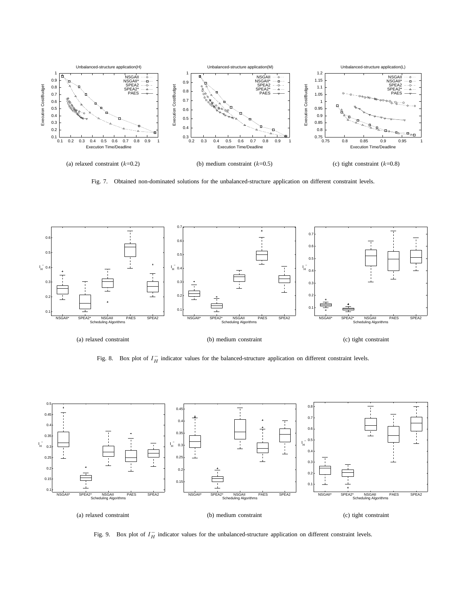

Fig. 7. Obtained non-dominated solutions for the unbalanced-structure application on different constraint levels.



Fig. 8. Box plot of  $I_H^-$  indicator values for the balanced-structure application on different constraint levels.



Fig. 9. Box plot of  $I_H^-$  indicator values for the unbalanced-structure application on different constraint levels.